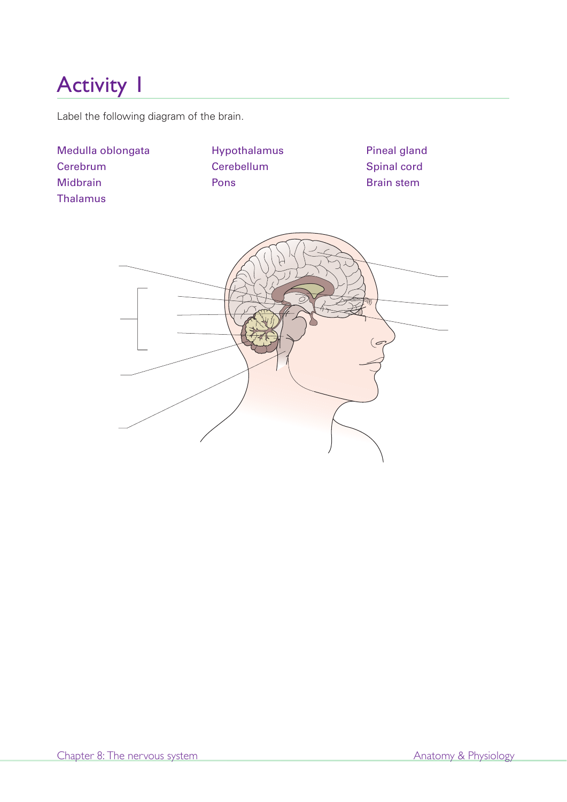Label the following diagram of the brain.

| Medulla oblongata<br>Cerebrum<br>Midbrain<br><b>Thalamus</b> | Hypothalamus<br>Cerebellum<br>Pons | <b>Pineal gland</b><br>Spinal cord<br><b>Brain stem</b> |
|--------------------------------------------------------------|------------------------------------|---------------------------------------------------------|
|                                                              |                                    | $\left( \sigma \right)$                                 |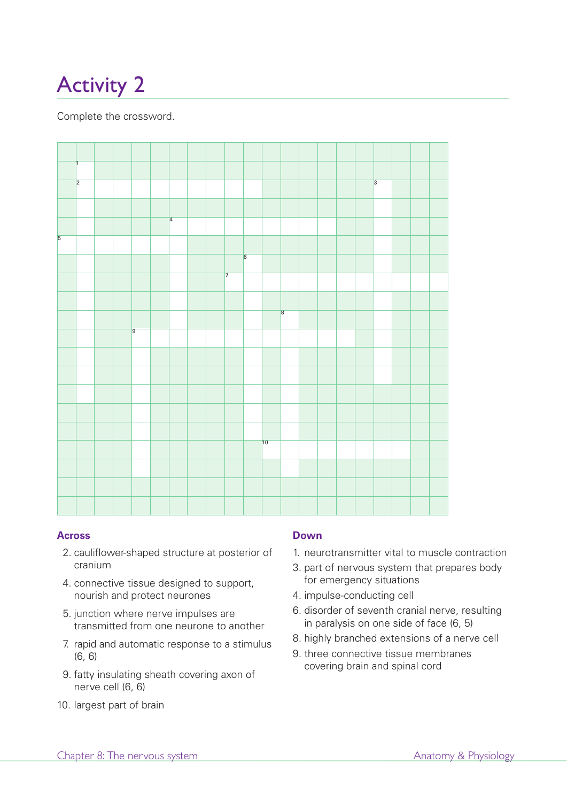Complete the crossword.



#### **Across**

- 2. cauliflower-shaped structure at posterior of cranium
- 4. connective tissue designed to support, nourish and protect neurones
- 5. junction where nerve impulses are transmitted from one neurone to another
- 7. rapid and automatic response to a stimulus (6, 6)
- 9. fatty insulating sheath covering axon of nerve cell (6, 6)
- 10. largest part of brain

## **Down**

- 1. neurotransmitter vital to muscle contraction
- 3. part of nervous system that prepares body for emergency situations
- 4. impulse-conducting cell
- 6. disorder of seventh cranial nerve, resulting in paralysis on one side of face (6, 5)
- 8. highly branched extensions of a nerve cell
- 9. three connective tissue membranes covering brain and spinal cord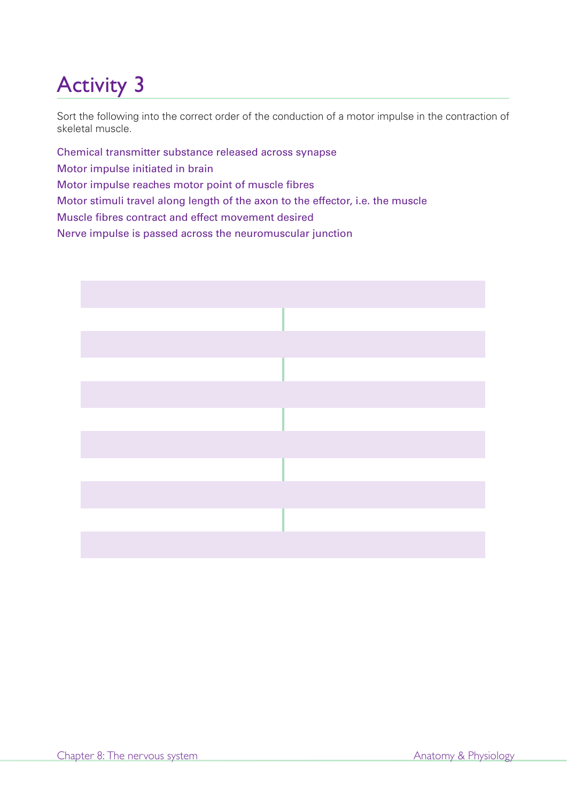Sort the following into the correct order of the conduction of a motor impulse in the contraction of skeletal muscle.

Chemical transmitter substance released across synapse Motor impulse initiated in brain Motor impulse reaches motor point of muscle fibres Motor stimuli travel along length of the axon to the effector, i.e. the muscle Muscle fibres contract and effect movement desired Nerve impulse is passed across the neuromuscular junction

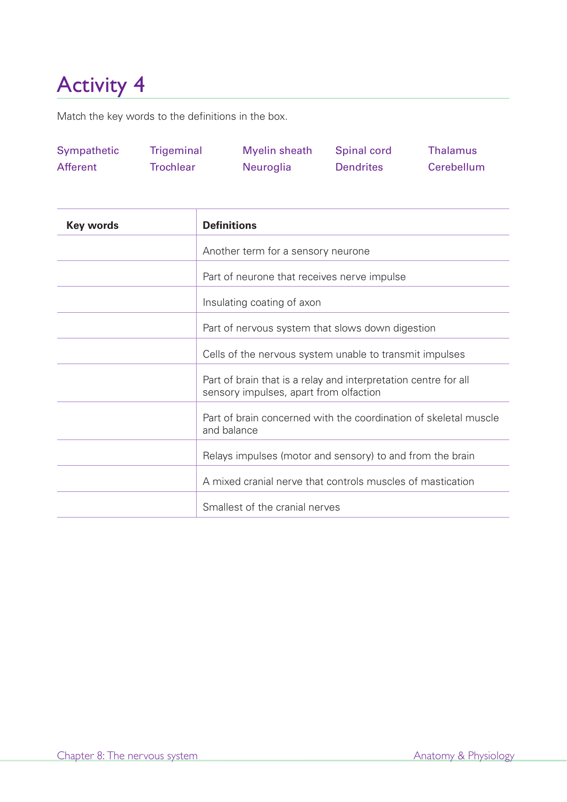Match the key words to the definitions in the box.

| Sympathetic | Trigeminal       | Myelin sheath    | <b>Spinal cord</b> | Thalamus   |
|-------------|------------------|------------------|--------------------|------------|
| Afferent    | <b>Trochlear</b> | <b>Neuroglia</b> | <b>Dendrites</b>   | Cerebellum |

| <b>Key words</b> | <b>Definitions</b>                                                                                        |
|------------------|-----------------------------------------------------------------------------------------------------------|
|                  | Another term for a sensory neurone                                                                        |
|                  | Part of neurone that receives nerve impulse                                                               |
|                  | Insulating coating of axon                                                                                |
|                  | Part of nervous system that slows down digestion                                                          |
|                  | Cells of the nervous system unable to transmit impulses                                                   |
|                  | Part of brain that is a relay and interpretation centre for all<br>sensory impulses, apart from olfaction |
|                  | Part of brain concerned with the coordination of skeletal muscle<br>and balance                           |
|                  | Relays impulses (motor and sensory) to and from the brain                                                 |
|                  | A mixed cranial nerve that controls muscles of mastication                                                |
|                  | Smallest of the cranial nerves                                                                            |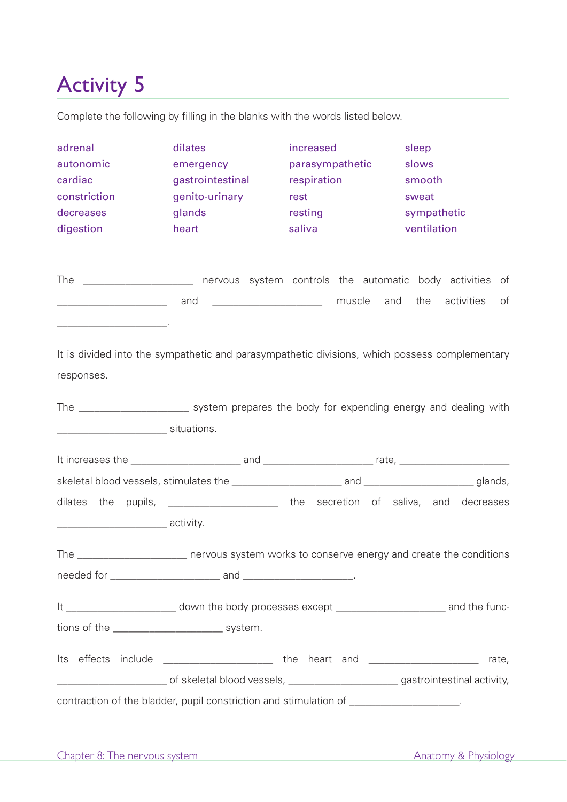Complete the following by filling in the blanks with the words listed below.

| adrenal<br>autonomic<br>cardiac<br>constriction<br>decreases<br>digestion                                              | dilates<br>emergency<br>gastrointestinal<br>genito-urinary<br>glands<br>heart                                                        | increased<br>parasympathetic<br>respiration<br>rest<br>resting<br>saliva | sleep<br>slows<br>smooth<br>sweat<br>sympathetic<br>ventilation |                  |
|------------------------------------------------------------------------------------------------------------------------|--------------------------------------------------------------------------------------------------------------------------------------|--------------------------------------------------------------------------|-----------------------------------------------------------------|------------------|
| <u> Alexandria de la construcción de la construcción de la construcción de la construcción de la construcción de l</u> | The ______________________ nervous system controls the automatic body activities of<br>and __________________________________ muscle |                                                                          | and the                                                         | activities<br>of |
| responses.                                                                                                             | It is divided into the sympathetic and parasympathetic divisions, which possess complementary                                        |                                                                          |                                                                 |                  |
|                                                                                                                        | The _________________________ system prepares the body for expending energy and dealing with                                         |                                                                          |                                                                 |                  |
|                                                                                                                        |                                                                                                                                      |                                                                          |                                                                 |                  |
|                                                                                                                        |                                                                                                                                      |                                                                          |                                                                 |                  |
|                                                                                                                        | dilates the pupils, _______________________ the secretion of saliva, and decreases                                                   |                                                                          |                                                                 |                  |
| The                                                                                                                    | nervous system works to conserve energy and create the conditions                                                                    |                                                                          |                                                                 |                  |
|                                                                                                                        |                                                                                                                                      |                                                                          |                                                                 |                  |
|                                                                                                                        | It _____________________________ down the body processes except ___________________________________ and the func-                    |                                                                          |                                                                 |                  |
| tions of the ________________________________ system.                                                                  |                                                                                                                                      |                                                                          |                                                                 |                  |
|                                                                                                                        | Its effects include _______________________ the heart and ______________________                                                     |                                                                          |                                                                 | rate,            |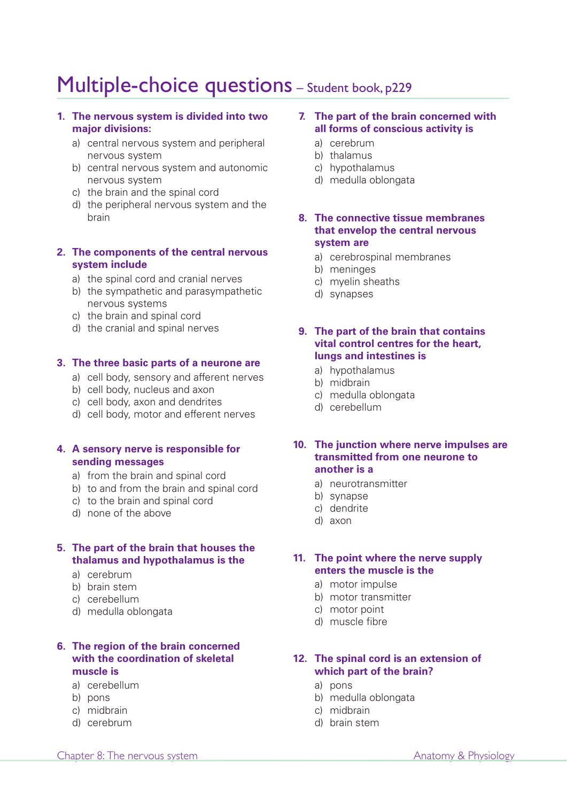# Multiple-choice questions - Student book, p229

#### **1. The nervous system is divided into two major divisions:**

- a) central nervous system and peripheral nervous system
- b) central nervous system and autonomic nervous system
- c) the brain and the spinal cord
- d) the peripheral nervous system and the brain

### **2. The components of the central nervous system include**

- a) the spinal cord and cranial nerves
- b) the sympathetic and parasympathetic nervous systems
- c) the brain and spinal cord
- d) the cranial and spinal nerves

#### **3. The three basic parts of a neurone are**

- a) cell body, sensory and afferent nerves
- b) cell body, nucleus and axon
- c) cell body, axon and dendrites
- d) cell body, motor and efferent nerves

#### **4. A sensory nerve is responsible for sending messages**

- a) from the brain and spinal cord
- b) to and from the brain and spinal cord
- c) to the brain and spinal cord
- d) none of the above

#### **5. The part of the brain that houses the thalamus and hypothalamus is the**

- a) cerebrum
- b) brain stem
- c) cerebellum
- d) medulla oblongata

## **6. The region of the brain concerned with the coordination of skeletal muscle is**

- a) cerebellum
- b) pons
- c) midbrain
- d) cerebrum

#### **7. The part of the brain concerned with all forms of conscious activity is**

- a) cerebrum
- b) thalamus
- c) hypothalamus
- d) medulla oblongata

# **8. The connective tissue membranes that envelop the central nervous system are**

- a) cerebrospinal membranes
- b) meninges
- c) myelin sheaths
- d) synapses

#### **9. The part of the brain that contains vital control centres for the heart, lungs and intestines is**

- a) hypothalamus
- b) midbrain
- c) medulla oblongata
- d) cerebellum

# **10. The junction where nerve impulses are transmitted from one neurone to another is a**

- a) neurotransmitter
- b) synapse
- c) dendrite
- d) axon

## **11. The point where the nerve supply enters the muscle is the**

- a) motor impulse
- b) motor transmitter
- c) motor point
- d) muscle fibre

## **12. The spinal cord is an extension of which part of the brain?**

- a) pons
- b) medulla oblongata
- c) midbrain
- d) brain stem